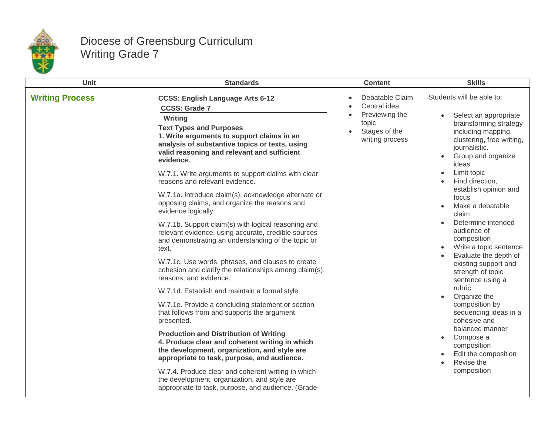

## Diocese of Greensburg Curriculum Writing Grade 7

| <b>Unit</b>            | <b>Standards</b>                                                                                                                                                                                                                                                                                                                                                                                                                                                                                                                                                                                                                                                                                                                                                                                                                                                                                                                                                                                                                                                                                                                                                                                                                                                                                                                                           | <b>Content</b>                                                                                 | <b>Skills</b>                                                                                                                                                                                                                                                                                                                                                                                                                                                                                                                                                                                                                                                  |
|------------------------|------------------------------------------------------------------------------------------------------------------------------------------------------------------------------------------------------------------------------------------------------------------------------------------------------------------------------------------------------------------------------------------------------------------------------------------------------------------------------------------------------------------------------------------------------------------------------------------------------------------------------------------------------------------------------------------------------------------------------------------------------------------------------------------------------------------------------------------------------------------------------------------------------------------------------------------------------------------------------------------------------------------------------------------------------------------------------------------------------------------------------------------------------------------------------------------------------------------------------------------------------------------------------------------------------------------------------------------------------------|------------------------------------------------------------------------------------------------|----------------------------------------------------------------------------------------------------------------------------------------------------------------------------------------------------------------------------------------------------------------------------------------------------------------------------------------------------------------------------------------------------------------------------------------------------------------------------------------------------------------------------------------------------------------------------------------------------------------------------------------------------------------|
| <b>Writing Process</b> | <b>CCSS: English Language Arts 6-12</b><br><b>CCSS: Grade 7</b><br>Writing<br><b>Text Types and Purposes</b><br>1. Write arguments to support claims in an<br>analysis of substantive topics or texts, using<br>valid reasoning and relevant and sufficient<br>evidence.<br>W.7.1. Write arguments to support claims with clear<br>reasons and relevant evidence.<br>W.7.1a. Introduce claim(s), acknowledge alternate or<br>opposing claims, and organize the reasons and<br>evidence logically.<br>W.7.1b. Support claim(s) with logical reasoning and<br>relevant evidence, using accurate, credible sources<br>and demonstrating an understanding of the topic or<br>text.<br>W.7.1c. Use words, phrases, and clauses to create<br>cohesion and clarify the relationships among claim(s),<br>reasons, and evidence.<br>W.7.1d. Establish and maintain a formal style.<br>W.7.1e. Provide a concluding statement or section<br>that follows from and supports the argument<br>presented.<br><b>Production and Distribution of Writing</b><br>4. Produce clear and coherent writing in which<br>the development, organization, and style are<br>appropriate to task, purpose, and audience.<br>W.7.4. Produce clear and coherent writing in which<br>the development, organization, and style are<br>appropriate to task, purpose, and audience. (Grade- | Debatable Claim<br>Central idea<br>Previewing the<br>topic<br>Stages of the<br>writing process | Students will be able to:<br>Select an appropriate<br>brainstorming strategy<br>including mapping,<br>clustering, free writing,<br>journalistic.<br>Group and organize<br>ideas<br>Limit topic<br>$\bullet$<br>Find direction,<br>establish opinion and<br>focus<br>Make a debatable<br>claim<br>Determine intended<br>audience of<br>composition<br>Write a topic sentence<br>Evaluate the depth of<br>existing support and<br>strength of topic<br>sentence using a<br>rubric<br>Organize the<br>composition by<br>sequencing ideas in a<br>cohesive and<br>balanced manner<br>Compose a<br>composition<br>Edit the composition<br>Revise the<br>composition |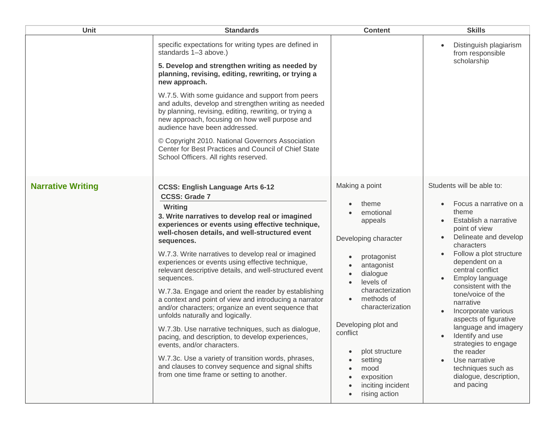| Unit                     | <b>Standards</b>                                                                                                                                                                                                                                                                                                                                                                                                                                                                                                                                                                                                                                                                               | <b>Content</b>                                                                                                                                                                                                                       | <b>Skills</b>                                                                                                                                                                                                                                                                                                                                                            |
|--------------------------|------------------------------------------------------------------------------------------------------------------------------------------------------------------------------------------------------------------------------------------------------------------------------------------------------------------------------------------------------------------------------------------------------------------------------------------------------------------------------------------------------------------------------------------------------------------------------------------------------------------------------------------------------------------------------------------------|--------------------------------------------------------------------------------------------------------------------------------------------------------------------------------------------------------------------------------------|--------------------------------------------------------------------------------------------------------------------------------------------------------------------------------------------------------------------------------------------------------------------------------------------------------------------------------------------------------------------------|
|                          | specific expectations for writing types are defined in<br>standards 1-3 above.)<br>5. Develop and strengthen writing as needed by<br>planning, revising, editing, rewriting, or trying a<br>new approach.                                                                                                                                                                                                                                                                                                                                                                                                                                                                                      |                                                                                                                                                                                                                                      | Distinguish plagiarism<br>from responsible<br>scholarship                                                                                                                                                                                                                                                                                                                |
|                          | W.7.5. With some guidance and support from peers<br>and adults, develop and strengthen writing as needed<br>by planning, revising, editing, rewriting, or trying a<br>new approach, focusing on how well purpose and<br>audience have been addressed.<br>© Copyright 2010. National Governors Association<br>Center for Best Practices and Council of Chief State<br>School Officers. All rights reserved.                                                                                                                                                                                                                                                                                     |                                                                                                                                                                                                                                      |                                                                                                                                                                                                                                                                                                                                                                          |
| <b>Narrative Writing</b> | <b>CCSS: English Language Arts 6-12</b><br><b>CCSS: Grade 7</b><br>Writing<br>3. Write narratives to develop real or imagined<br>experiences or events using effective technique,<br>well-chosen details, and well-structured event<br>sequences.                                                                                                                                                                                                                                                                                                                                                                                                                                              | Making a point<br>theme<br>emotional<br>appeals<br>Developing character                                                                                                                                                              | Students will be able to:<br>Focus a narrative on a<br>theme<br>Establish a narrative<br>point of view<br>Delineate and develop                                                                                                                                                                                                                                          |
|                          | W.7.3. Write narratives to develop real or imagined<br>experiences or events using effective technique,<br>relevant descriptive details, and well-structured event<br>sequences.<br>W.7.3a. Engage and orient the reader by establishing<br>a context and point of view and introducing a narrator<br>and/or characters; organize an event sequence that<br>unfolds naturally and logically.<br>W.7.3b. Use narrative techniques, such as dialogue,<br>pacing, and description, to develop experiences,<br>events, and/or characters.<br>W.7.3c. Use a variety of transition words, phrases,<br>and clauses to convey sequence and signal shifts<br>from one time frame or setting to another. | protagonist<br>antagonist<br>dialogue<br>levels of<br>characterization<br>methods of<br>characterization<br>Developing plot and<br>conflict<br>plot structure<br>setting<br>mood<br>exposition<br>inciting incident<br>rising action | characters<br>Follow a plot structure<br>dependent on a<br>central conflict<br>Employ language<br>consistent with the<br>tone/voice of the<br>narrative<br>Incorporate various<br>aspects of figurative<br>language and imagery<br>Identify and use<br>strategies to engage<br>the reader<br>Use narrative<br>techniques such as<br>dialogue, description,<br>and pacing |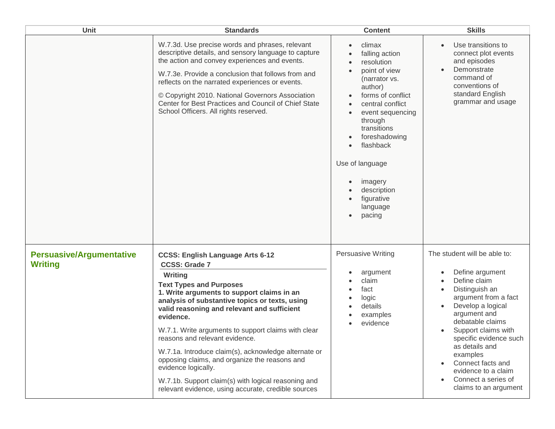| Unit                                              | <b>Standards</b>                                                                                                                                                                                                                                                                                                                                                                                                                                                                                                                                                                                                | <b>Content</b>                                                                                                                                                                                                                                                                            | <b>Skills</b>                                                                                                                                                                                                                                                                                                                                 |
|---------------------------------------------------|-----------------------------------------------------------------------------------------------------------------------------------------------------------------------------------------------------------------------------------------------------------------------------------------------------------------------------------------------------------------------------------------------------------------------------------------------------------------------------------------------------------------------------------------------------------------------------------------------------------------|-------------------------------------------------------------------------------------------------------------------------------------------------------------------------------------------------------------------------------------------------------------------------------------------|-----------------------------------------------------------------------------------------------------------------------------------------------------------------------------------------------------------------------------------------------------------------------------------------------------------------------------------------------|
|                                                   | W.7.3d. Use precise words and phrases, relevant<br>descriptive details, and sensory language to capture<br>the action and convey experiences and events.<br>W.7.3e. Provide a conclusion that follows from and<br>reflects on the narrated experiences or events.<br>© Copyright 2010. National Governors Association<br>Center for Best Practices and Council of Chief State<br>School Officers. All rights reserved.                                                                                                                                                                                          | climax<br>falling action<br>resolution<br>point of view<br>(narrator vs.<br>author)<br>forms of conflict<br>central conflict<br>event sequencing<br>through<br>transitions<br>foreshadowing<br>flashback<br>Use of language<br>imagery<br>description<br>figurative<br>language<br>pacing | Use transitions to<br>connect plot events<br>and episodes<br>Demonstrate<br>command of<br>conventions of<br>standard English<br>grammar and usage                                                                                                                                                                                             |
| <b>Persuasive/Argumentative</b><br><b>Writing</b> | <b>CCSS: English Language Arts 6-12</b><br><b>CCSS: Grade 7</b><br>Writing<br><b>Text Types and Purposes</b><br>1. Write arguments to support claims in an<br>analysis of substantive topics or texts, using<br>valid reasoning and relevant and sufficient<br>evidence.<br>W.7.1. Write arguments to support claims with clear<br>reasons and relevant evidence.<br>W.7.1a. Introduce claim(s), acknowledge alternate or<br>opposing claims, and organize the reasons and<br>evidence logically.<br>W.7.1b. Support claim(s) with logical reasoning and<br>relevant evidence, using accurate, credible sources | <b>Persuasive Writing</b><br>argument<br>claim<br>fact<br>logic<br>details<br>examples<br>evidence                                                                                                                                                                                        | The student will be able to:<br>Define argument<br>Define claim<br>Distinguish an<br>argument from a fact<br>Develop a logical<br>argument and<br>debatable claims<br>Support claims with<br>specific evidence such<br>as details and<br>examples<br>Connect facts and<br>evidence to a claim<br>Connect a series of<br>claims to an argument |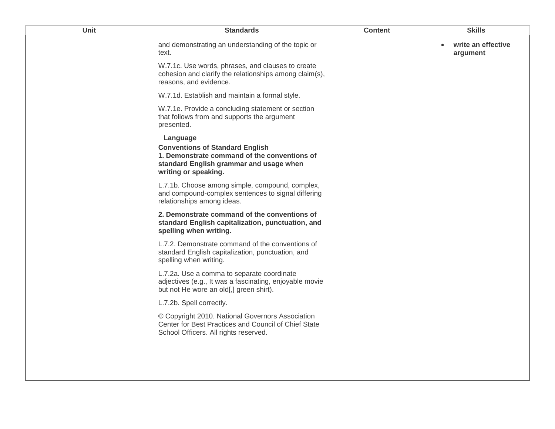| Unit | <b>Standards</b>                                                                                                                                                      | <b>Content</b> | <b>Skills</b>                  |
|------|-----------------------------------------------------------------------------------------------------------------------------------------------------------------------|----------------|--------------------------------|
|      | and demonstrating an understanding of the topic or<br>text.                                                                                                           |                | write an effective<br>argument |
|      | W.7.1c. Use words, phrases, and clauses to create<br>cohesion and clarify the relationships among claim(s),<br>reasons, and evidence.                                 |                |                                |
|      | W.7.1d. Establish and maintain a formal style.                                                                                                                        |                |                                |
|      | W.7.1e. Provide a concluding statement or section<br>that follows from and supports the argument<br>presented.                                                        |                |                                |
|      | Language<br><b>Conventions of Standard English</b><br>1. Demonstrate command of the conventions of<br>standard English grammar and usage when<br>writing or speaking. |                |                                |
|      | L.7.1b. Choose among simple, compound, complex,<br>and compound-complex sentences to signal differing<br>relationships among ideas.                                   |                |                                |
|      | 2. Demonstrate command of the conventions of<br>standard English capitalization, punctuation, and<br>spelling when writing.                                           |                |                                |
|      | L.7.2. Demonstrate command of the conventions of<br>standard English capitalization, punctuation, and<br>spelling when writing.                                       |                |                                |
|      | L.7.2a. Use a comma to separate coordinate<br>adjectives (e.g., It was a fascinating, enjoyable movie<br>but not He wore an old[,] green shirt).                      |                |                                |
|      | L.7.2b. Spell correctly.                                                                                                                                              |                |                                |
|      | © Copyright 2010. National Governors Association<br>Center for Best Practices and Council of Chief State<br>School Officers. All rights reserved.                     |                |                                |
|      |                                                                                                                                                                       |                |                                |
|      |                                                                                                                                                                       |                |                                |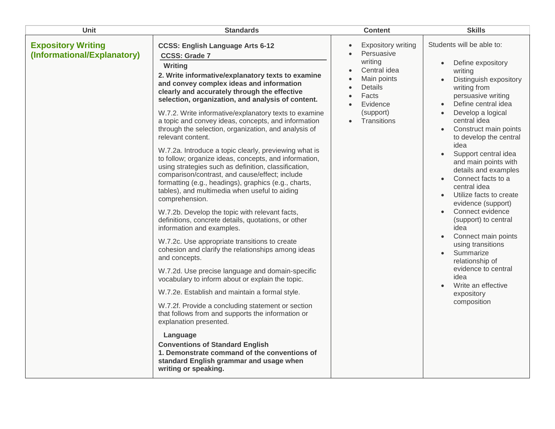| Unit                                                     | <b>Standards</b>                                                                                                                                                                                                                                                                                                                                                                                                                                                                                                                                                                                                                                                                                                                                                                                                                                                                                                                                                                                                                                                                                                                                                                                                                                                                                                                                                                                                                                                                                                                                                          | <b>Content</b>                                                                                                                                                                       | <b>Skills</b>                                                                                                                                                                                                                                                                                                                                                                                                                                                                                                                                                                                                                                                                                      |
|----------------------------------------------------------|---------------------------------------------------------------------------------------------------------------------------------------------------------------------------------------------------------------------------------------------------------------------------------------------------------------------------------------------------------------------------------------------------------------------------------------------------------------------------------------------------------------------------------------------------------------------------------------------------------------------------------------------------------------------------------------------------------------------------------------------------------------------------------------------------------------------------------------------------------------------------------------------------------------------------------------------------------------------------------------------------------------------------------------------------------------------------------------------------------------------------------------------------------------------------------------------------------------------------------------------------------------------------------------------------------------------------------------------------------------------------------------------------------------------------------------------------------------------------------------------------------------------------------------------------------------------------|--------------------------------------------------------------------------------------------------------------------------------------------------------------------------------------|----------------------------------------------------------------------------------------------------------------------------------------------------------------------------------------------------------------------------------------------------------------------------------------------------------------------------------------------------------------------------------------------------------------------------------------------------------------------------------------------------------------------------------------------------------------------------------------------------------------------------------------------------------------------------------------------------|
| <b>Expository Writing</b><br>(Informational/Explanatory) | <b>CCSS: English Language Arts 6-12</b><br><b>CCSS: Grade 7</b><br>Writing<br>2. Write informative/explanatory texts to examine<br>and convey complex ideas and information<br>clearly and accurately through the effective<br>selection, organization, and analysis of content.<br>W.7.2. Write informative/explanatory texts to examine<br>a topic and convey ideas, concepts, and information<br>through the selection, organization, and analysis of<br>relevant content.<br>W.7.2a. Introduce a topic clearly, previewing what is<br>to follow; organize ideas, concepts, and information,<br>using strategies such as definition, classification,<br>comparison/contrast, and cause/effect; include<br>formatting (e.g., headings), graphics (e.g., charts,<br>tables), and multimedia when useful to aiding<br>comprehension.<br>W.7.2b. Develop the topic with relevant facts,<br>definitions, concrete details, quotations, or other<br>information and examples.<br>W.7.2c. Use appropriate transitions to create<br>cohesion and clarify the relationships among ideas<br>and concepts.<br>W.7.2d. Use precise language and domain-specific<br>vocabulary to inform about or explain the topic.<br>W.7.2e. Establish and maintain a formal style.<br>W.7.2f. Provide a concluding statement or section<br>that follows from and supports the information or<br>explanation presented.<br>Language<br><b>Conventions of Standard English</b><br>1. Demonstrate command of the conventions of<br>standard English grammar and usage when<br>writing or speaking. | <b>Expository writing</b><br>$\bullet$<br>Persuasive<br>$\bullet$<br>writing<br>Central idea<br>$\bullet$<br>Main points<br>Details<br>Facts<br>Evidence<br>(support)<br>Transitions | Students will be able to:<br>Define expository<br>$\bullet$<br>writing<br>Distinguish expository<br>writing from<br>persuasive writing<br>Define central idea<br>$\bullet$<br>Develop a logical<br>$\bullet$<br>central idea<br>Construct main points<br>to develop the central<br>idea<br>Support central idea<br>$\bullet$<br>and main points with<br>details and examples<br>Connect facts to a<br>central idea<br>Utilize facts to create<br>evidence (support)<br>Connect evidence<br>(support) to central<br>idea<br>Connect main points<br>$\bullet$<br>using transitions<br>Summarize<br>relationship of<br>evidence to central<br>idea<br>Write an effective<br>expository<br>composition |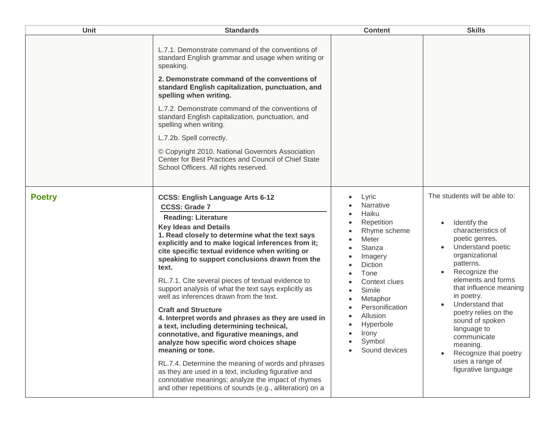| Unit          | <b>Standards</b>                                                                                                                                                                                                                                                                                                                                                                                                                                                                                                                                                                                                                                                                                                                                                                                                                                                                                                                                                                          | <b>Content</b>                                                                                                                                                                                                                                 | <b>Skills</b>                                                                                                                                                                                                                                                                                                                                                                                       |
|---------------|-------------------------------------------------------------------------------------------------------------------------------------------------------------------------------------------------------------------------------------------------------------------------------------------------------------------------------------------------------------------------------------------------------------------------------------------------------------------------------------------------------------------------------------------------------------------------------------------------------------------------------------------------------------------------------------------------------------------------------------------------------------------------------------------------------------------------------------------------------------------------------------------------------------------------------------------------------------------------------------------|------------------------------------------------------------------------------------------------------------------------------------------------------------------------------------------------------------------------------------------------|-----------------------------------------------------------------------------------------------------------------------------------------------------------------------------------------------------------------------------------------------------------------------------------------------------------------------------------------------------------------------------------------------------|
|               | L.7.1. Demonstrate command of the conventions of<br>standard English grammar and usage when writing or<br>speaking.<br>2. Demonstrate command of the conventions of<br>standard English capitalization, punctuation, and<br>spelling when writing.<br>L.7.2. Demonstrate command of the conventions of<br>standard English capitalization, punctuation, and<br>spelling when writing.<br>L.7.2b. Spell correctly.<br>© Copyright 2010. National Governors Association<br>Center for Best Practices and Council of Chief State<br>School Officers. All rights reserved.                                                                                                                                                                                                                                                                                                                                                                                                                    |                                                                                                                                                                                                                                                |                                                                                                                                                                                                                                                                                                                                                                                                     |
| <b>Poetry</b> | <b>CCSS: English Language Arts 6-12</b><br><b>CCSS: Grade 7</b><br><b>Reading: Literature</b><br><b>Key Ideas and Details</b><br>1. Read closely to determine what the text says<br>explicitly and to make logical inferences from it;<br>cite specific textual evidence when writing or<br>speaking to support conclusions drawn from the<br>text.<br>RL.7.1. Cite several pieces of textual evidence to<br>support analysis of what the text says explicitly as<br>well as inferences drawn from the text.<br><b>Craft and Structure</b><br>4. Interpret words and phrases as they are used in<br>a text, including determining technical,<br>connotative, and figurative meanings, and<br>analyze how specific word choices shape<br>meaning or tone.<br>RL.7.4. Determine the meaning of words and phrases<br>as they are used in a text, including figurative and<br>connotative meanings; analyze the impact of rhymes<br>and other repetitions of sounds (e.g., alliteration) on a | Lyric<br>Narrative<br>Haiku<br>Repetition<br>Rhyme scheme<br>Meter<br>Stanza<br>Imagery<br>Diction<br>Tone<br>Context clues<br>Simile<br>Metaphor<br>Personification<br>Allusion<br>Hyperbole<br>Irony<br>$\bullet$<br>Symbol<br>Sound devices | The students will be able to:<br>Identify the<br>characteristics of<br>poetic genres.<br>Understand poetic<br>organizational<br>patterns.<br>Recognize the<br>elements and forms<br>that influence meaning<br>in poetry.<br>Understand that<br>poetry relies on the<br>sound of spoken<br>language to<br>communicate<br>meaning.<br>Recognize that poetry<br>uses a range of<br>figurative language |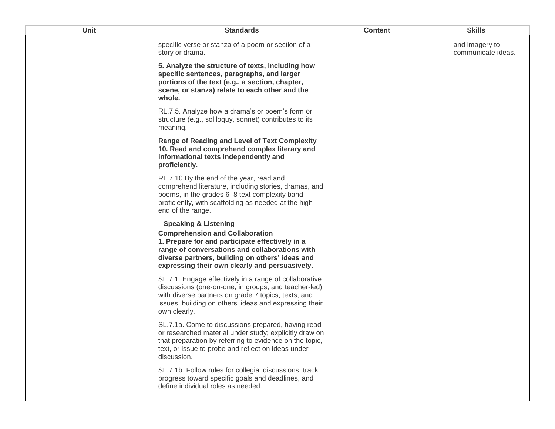| <b>Unit</b> | <b>Standards</b>                                                                                                                                                                                                                                                                    | <b>Content</b> | <b>Skills</b>                        |
|-------------|-------------------------------------------------------------------------------------------------------------------------------------------------------------------------------------------------------------------------------------------------------------------------------------|----------------|--------------------------------------|
|             | specific verse or stanza of a poem or section of a<br>story or drama.                                                                                                                                                                                                               |                | and imagery to<br>communicate ideas. |
|             | 5. Analyze the structure of texts, including how<br>specific sentences, paragraphs, and larger<br>portions of the text (e.g., a section, chapter,<br>scene, or stanza) relate to each other and the<br>whole.                                                                       |                |                                      |
|             | RL.7.5. Analyze how a drama's or poem's form or<br>structure (e.g., soliloquy, sonnet) contributes to its<br>meaning.                                                                                                                                                               |                |                                      |
|             | Range of Reading and Level of Text Complexity<br>10. Read and comprehend complex literary and<br>informational texts independently and<br>proficiently.                                                                                                                             |                |                                      |
|             | RL.7.10.By the end of the year, read and<br>comprehend literature, including stories, dramas, and<br>poems, in the grades 6-8 text complexity band<br>proficiently, with scaffolding as needed at the high<br>end of the range.                                                     |                |                                      |
|             | <b>Speaking &amp; Listening</b><br><b>Comprehension and Collaboration</b><br>1. Prepare for and participate effectively in a<br>range of conversations and collaborations with<br>diverse partners, building on others' ideas and<br>expressing their own clearly and persuasively. |                |                                      |
|             | SL.7.1. Engage effectively in a range of collaborative<br>discussions (one-on-one, in groups, and teacher-led)<br>with diverse partners on grade 7 topics, texts, and<br>issues, building on others' ideas and expressing their<br>own clearly.                                     |                |                                      |
|             | SL.7.1a. Come to discussions prepared, having read<br>or researched material under study; explicitly draw on<br>that preparation by referring to evidence on the topic,<br>text, or issue to probe and reflect on ideas under<br>discussion.                                        |                |                                      |
|             | SL.7.1b. Follow rules for collegial discussions, track<br>progress toward specific goals and deadlines, and<br>define individual roles as needed.                                                                                                                                   |                |                                      |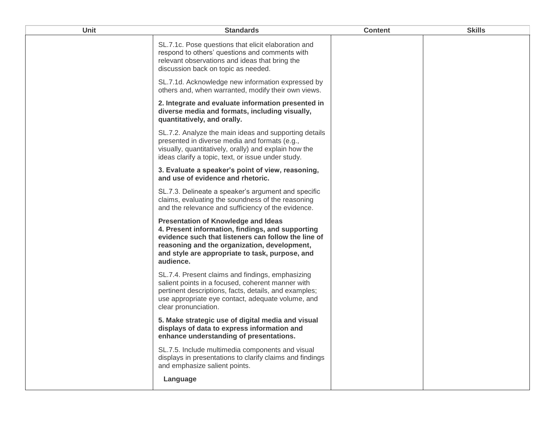| <b>Unit</b> | <b>Standards</b>                                                                                                                                                                                                                                                      | <b>Content</b> | <b>Skills</b> |
|-------------|-----------------------------------------------------------------------------------------------------------------------------------------------------------------------------------------------------------------------------------------------------------------------|----------------|---------------|
|             | SL.7.1c. Pose questions that elicit elaboration and<br>respond to others' questions and comments with<br>relevant observations and ideas that bring the<br>discussion back on topic as needed.                                                                        |                |               |
|             | SL.7.1d. Acknowledge new information expressed by<br>others and, when warranted, modify their own views.                                                                                                                                                              |                |               |
|             | 2. Integrate and evaluate information presented in<br>diverse media and formats, including visually,<br>quantitatively, and orally.                                                                                                                                   |                |               |
|             | SL.7.2. Analyze the main ideas and supporting details<br>presented in diverse media and formats (e.g.,<br>visually, quantitatively, orally) and explain how the<br>ideas clarify a topic, text, or issue under study.                                                 |                |               |
|             | 3. Evaluate a speaker's point of view, reasoning,<br>and use of evidence and rhetoric.                                                                                                                                                                                |                |               |
|             | SL.7.3. Delineate a speaker's argument and specific<br>claims, evaluating the soundness of the reasoning<br>and the relevance and sufficiency of the evidence.                                                                                                        |                |               |
|             | <b>Presentation of Knowledge and Ideas</b><br>4. Present information, findings, and supporting<br>evidence such that listeners can follow the line of<br>reasoning and the organization, development,<br>and style are appropriate to task, purpose, and<br>audience. |                |               |
|             | SL.7.4. Present claims and findings, emphasizing<br>salient points in a focused, coherent manner with<br>pertinent descriptions, facts, details, and examples;<br>use appropriate eye contact, adequate volume, and<br>clear pronunciation.                           |                |               |
|             | 5. Make strategic use of digital media and visual<br>displays of data to express information and<br>enhance understanding of presentations.                                                                                                                           |                |               |
|             | SL.7.5. Include multimedia components and visual<br>displays in presentations to clarify claims and findings<br>and emphasize salient points.                                                                                                                         |                |               |
|             | Language                                                                                                                                                                                                                                                              |                |               |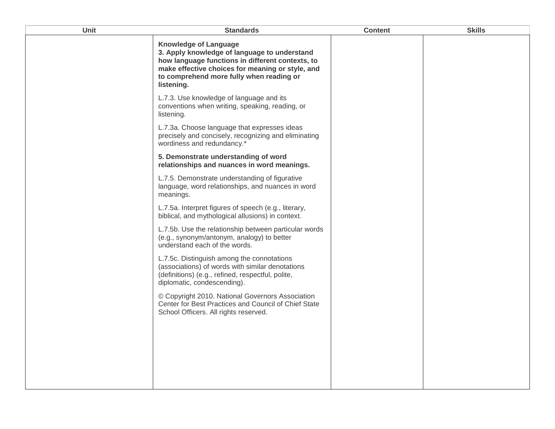| Unit | <b>Standards</b>                                                                                                                                                                                                                               | <b>Content</b> | <b>Skills</b> |
|------|------------------------------------------------------------------------------------------------------------------------------------------------------------------------------------------------------------------------------------------------|----------------|---------------|
|      | <b>Knowledge of Language</b><br>3. Apply knowledge of language to understand<br>how language functions in different contexts, to<br>make effective choices for meaning or style, and<br>to comprehend more fully when reading or<br>listening. |                |               |
|      | L.7.3. Use knowledge of language and its<br>conventions when writing, speaking, reading, or<br>listening.                                                                                                                                      |                |               |
|      | L.7.3a. Choose language that expresses ideas<br>precisely and concisely, recognizing and eliminating<br>wordiness and redundancy.*                                                                                                             |                |               |
|      | 5. Demonstrate understanding of word<br>relationships and nuances in word meanings.                                                                                                                                                            |                |               |
|      | L.7.5. Demonstrate understanding of figurative<br>language, word relationships, and nuances in word<br>meanings.                                                                                                                               |                |               |
|      | L.7.5a. Interpret figures of speech (e.g., literary,<br>biblical, and mythological allusions) in context.                                                                                                                                      |                |               |
|      | L.7.5b. Use the relationship between particular words<br>(e.g., synonym/antonym, analogy) to better<br>understand each of the words.                                                                                                           |                |               |
|      | L.7.5c. Distinguish among the connotations<br>(associations) of words with similar denotations<br>(definitions) (e.g., refined, respectful, polite,<br>diplomatic, condescending).                                                             |                |               |
|      | © Copyright 2010. National Governors Association<br>Center for Best Practices and Council of Chief State<br>School Officers. All rights reserved.                                                                                              |                |               |
|      |                                                                                                                                                                                                                                                |                |               |
|      |                                                                                                                                                                                                                                                |                |               |
|      |                                                                                                                                                                                                                                                |                |               |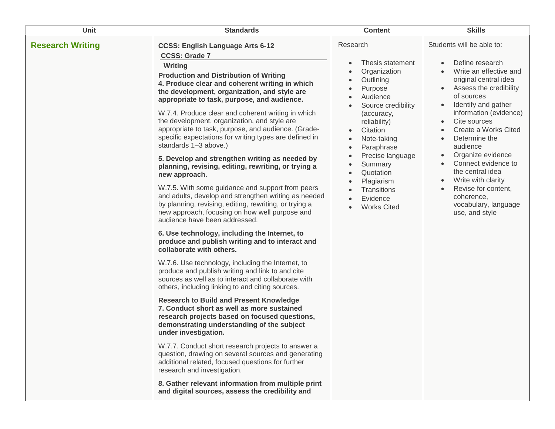| Unit                    | <b>Standards</b>                                                                                                                                                                                                                                                                                                                                                                                                                                                                                                                                                                                                                                                                                                                                                                                                                                                                                                                                                                                                                                                                                                                                                                                                                                                                                                                                                                                                                                                                                                                                                                                                                                                                                                                                                                                     | <b>Content</b>                                                                                                                                                                                                                                                                                                                  | <b>Skills</b>                                                                                                                                                                                                                                                                                                                                                                                                                                   |
|-------------------------|------------------------------------------------------------------------------------------------------------------------------------------------------------------------------------------------------------------------------------------------------------------------------------------------------------------------------------------------------------------------------------------------------------------------------------------------------------------------------------------------------------------------------------------------------------------------------------------------------------------------------------------------------------------------------------------------------------------------------------------------------------------------------------------------------------------------------------------------------------------------------------------------------------------------------------------------------------------------------------------------------------------------------------------------------------------------------------------------------------------------------------------------------------------------------------------------------------------------------------------------------------------------------------------------------------------------------------------------------------------------------------------------------------------------------------------------------------------------------------------------------------------------------------------------------------------------------------------------------------------------------------------------------------------------------------------------------------------------------------------------------------------------------------------------------|---------------------------------------------------------------------------------------------------------------------------------------------------------------------------------------------------------------------------------------------------------------------------------------------------------------------------------|-------------------------------------------------------------------------------------------------------------------------------------------------------------------------------------------------------------------------------------------------------------------------------------------------------------------------------------------------------------------------------------------------------------------------------------------------|
| <b>Research Writing</b> | <b>CCSS: English Language Arts 6-12</b><br><b>CCSS: Grade 7</b><br>Writing<br><b>Production and Distribution of Writing</b><br>4. Produce clear and coherent writing in which<br>the development, organization, and style are<br>appropriate to task, purpose, and audience.<br>W.7.4. Produce clear and coherent writing in which<br>the development, organization, and style are<br>appropriate to task, purpose, and audience. (Grade-<br>specific expectations for writing types are defined in<br>standards 1-3 above.)<br>5. Develop and strengthen writing as needed by<br>planning, revising, editing, rewriting, or trying a<br>new approach.<br>W.7.5. With some guidance and support from peers<br>and adults, develop and strengthen writing as needed<br>by planning, revising, editing, rewriting, or trying a<br>new approach, focusing on how well purpose and<br>audience have been addressed.<br>6. Use technology, including the Internet, to<br>produce and publish writing and to interact and<br>collaborate with others.<br>W.7.6. Use technology, including the Internet, to<br>produce and publish writing and link to and cite<br>sources as well as to interact and collaborate with<br>others, including linking to and citing sources.<br><b>Research to Build and Present Knowledge</b><br>7. Conduct short as well as more sustained<br>research projects based on focused questions,<br>demonstrating understanding of the subject<br>under investigation.<br>W.7.7. Conduct short research projects to answer a<br>question, drawing on several sources and generating<br>additional related, focused questions for further<br>research and investigation.<br>8. Gather relevant information from multiple print<br>and digital sources, assess the credibility and | Research<br>Thesis statement<br>Organization<br>Outlining<br>Purpose<br>Audience<br>Source credibility<br>(accuracy,<br>reliability)<br>Citation<br>Note-taking<br>Paraphrase<br>$\bullet$<br>Precise language<br>$\bullet$<br>Summary<br>Quotation<br>$\bullet$<br>Plagiarism<br>Transitions<br>Evidence<br><b>Works Cited</b> | Students will be able to:<br>Define research<br>Write an effective and<br>original central idea<br>Assess the credibility<br>of sources<br>Identify and gather<br>$\bullet$<br>information (evidence)<br>Cite sources<br>Create a Works Cited<br>Determine the<br>audience<br>Organize evidence<br>Connect evidence to<br>the central idea<br>Write with clarity<br>Revise for content,<br>coherence,<br>vocabulary, language<br>use, and style |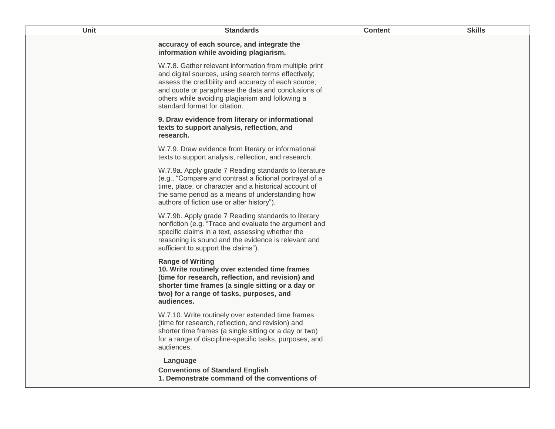| Unit | <b>Standards</b>                                                                                                                                                                                                                                                                                                  | <b>Content</b> | <b>Skills</b> |
|------|-------------------------------------------------------------------------------------------------------------------------------------------------------------------------------------------------------------------------------------------------------------------------------------------------------------------|----------------|---------------|
|      | accuracy of each source, and integrate the<br>information while avoiding plagiarism.                                                                                                                                                                                                                              |                |               |
|      | W.7.8. Gather relevant information from multiple print<br>and digital sources, using search terms effectively;<br>assess the credibility and accuracy of each source;<br>and quote or paraphrase the data and conclusions of<br>others while avoiding plagiarism and following a<br>standard format for citation. |                |               |
|      | 9. Draw evidence from literary or informational<br>texts to support analysis, reflection, and<br>research.                                                                                                                                                                                                        |                |               |
|      | W.7.9. Draw evidence from literary or informational<br>texts to support analysis, reflection, and research.                                                                                                                                                                                                       |                |               |
|      | W.7.9a. Apply grade 7 Reading standards to literature<br>(e.g., "Compare and contrast a fictional portrayal of a<br>time, place, or character and a historical account of<br>the same period as a means of understanding how<br>authors of fiction use or alter history").                                        |                |               |
|      | W.7.9b. Apply grade 7 Reading standards to literary<br>nonfiction (e.g. "Trace and evaluate the argument and<br>specific claims in a text, assessing whether the<br>reasoning is sound and the evidence is relevant and<br>sufficient to support the claims").                                                    |                |               |
|      | <b>Range of Writing</b><br>10. Write routinely over extended time frames<br>(time for research, reflection, and revision) and<br>shorter time frames (a single sitting or a day or<br>two) for a range of tasks, purposes, and<br>audiences.                                                                      |                |               |
|      | W.7.10. Write routinely over extended time frames<br>(time for research, reflection, and revision) and<br>shorter time frames (a single sitting or a day or two)<br>for a range of discipline-specific tasks, purposes, and<br>audiences.                                                                         |                |               |
|      | Language<br><b>Conventions of Standard English</b><br>1. Demonstrate command of the conventions of                                                                                                                                                                                                                |                |               |